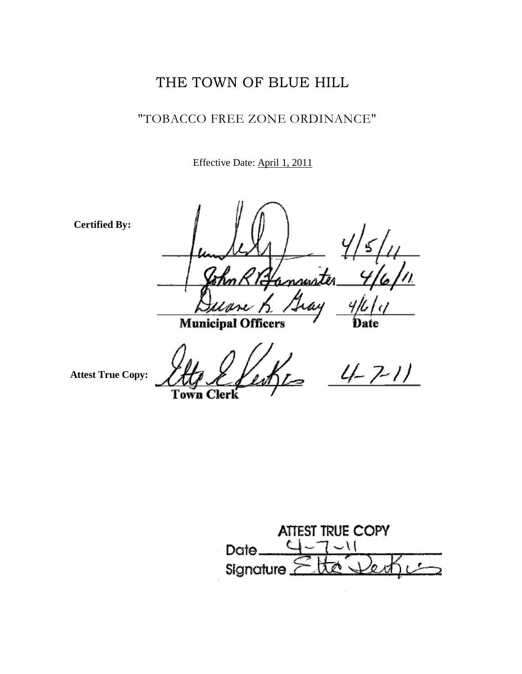## THE TOWN OF BLUE HILL

## "TOBACCO FREE ZONE ORDINANCE"

Effective Date: April 1, 2011

**Certified By:**

annus Iray nos i

**Municipal Officers** 

**Attest True Copy:**

Town Clerk

 $4 - 7 - 11$ 

ATTEST TRUE COPY C ا ۱۔  $Date_$ Signature.